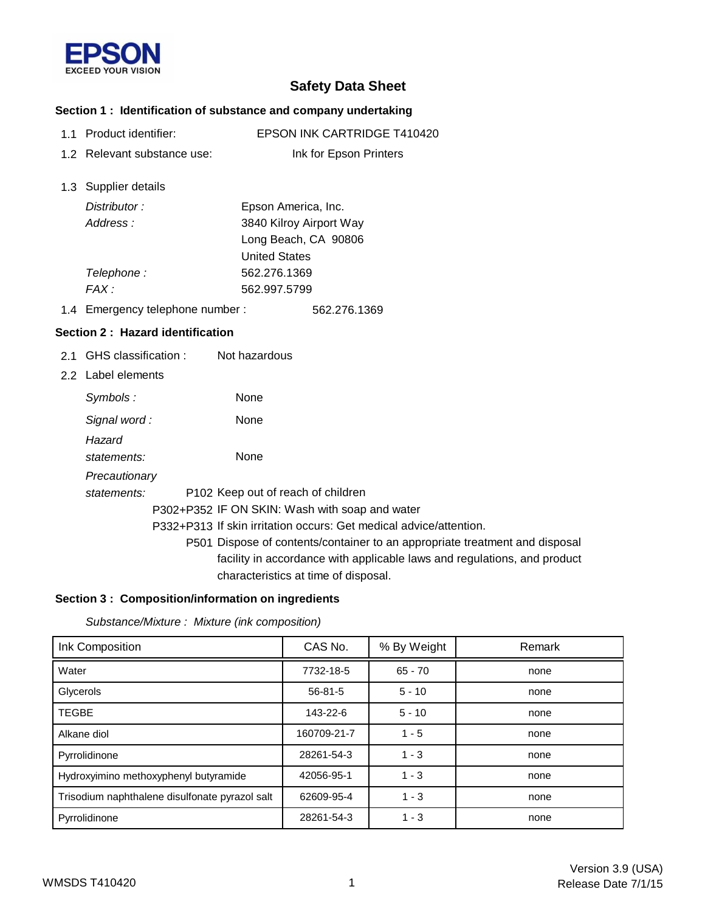

# **Safety Data Sheet**

### **Section 1 : Identification of substance and company undertaking**

- 1.1 Product identifier: EPSON INK CARTRIDGE T410420
- 1.2 Relevant substance use: Ink for Epson Printers
- 1.3 Supplier details

| Distributor: | Epson America, Inc.     |
|--------------|-------------------------|
| Address:     | 3840 Kilroy Airport Way |
|              | Long Beach, CA 90806    |
|              | <b>United States</b>    |
| Telephone:   | 562.276.1369            |
| $FAX \cdot$  | 562.997.5799            |

1.4 562.276.1369 Emergency telephone number :

### **Section 2 : Hazard identification**

- 2.1 GHS classification : Not hazardous
- 2.2 Label elements

| Symbols:              | None        |                                                                                                                  |
|-----------------------|-------------|------------------------------------------------------------------------------------------------------------------|
| Signal word:          | <b>None</b> |                                                                                                                  |
| Hazard<br>statements: | None        |                                                                                                                  |
| Precautionary         |             |                                                                                                                  |
| statements:           |             | P <sub>102</sub> Keep out of reach of children                                                                   |
|                       |             | P302+P352 IF ON SKIN: Wash with soap and water                                                                   |
|                       |             | P332+P313 If skin irritation occurs: Get medical advice/attention.                                               |
|                       |             | P501 Dispose of contents/container to an appropriate treatment and disposal                                      |
|                       |             | facility in accordance with applicable laws and regulations, and product<br>characteristics at time of disposal. |

### **Section 3 : Composition/information on ingredients**

*Substance/Mixture : Mixture (ink composition)*

| Ink Composition                                | CAS No.       | % By Weight | Remark |
|------------------------------------------------|---------------|-------------|--------|
| Water                                          | 7732-18-5     | $65 - 70$   | none   |
| Glycerols                                      | $56 - 81 - 5$ | $5 - 10$    | none   |
| <b>TEGBE</b>                                   | 143-22-6      | $5 - 10$    | none   |
| Alkane diol                                    | 160709-21-7   | $1 - 5$     | none   |
| Pyrrolidinone                                  | 28261-54-3    | $1 - 3$     | none   |
| Hydroxyimino methoxyphenyl butyramide          | 42056-95-1    | $1 - 3$     | none   |
| Trisodium naphthalene disulfonate pyrazol salt | 62609-95-4    | $1 - 3$     | none   |
| Pyrrolidinone                                  | 28261-54-3    | $1 - 3$     | none   |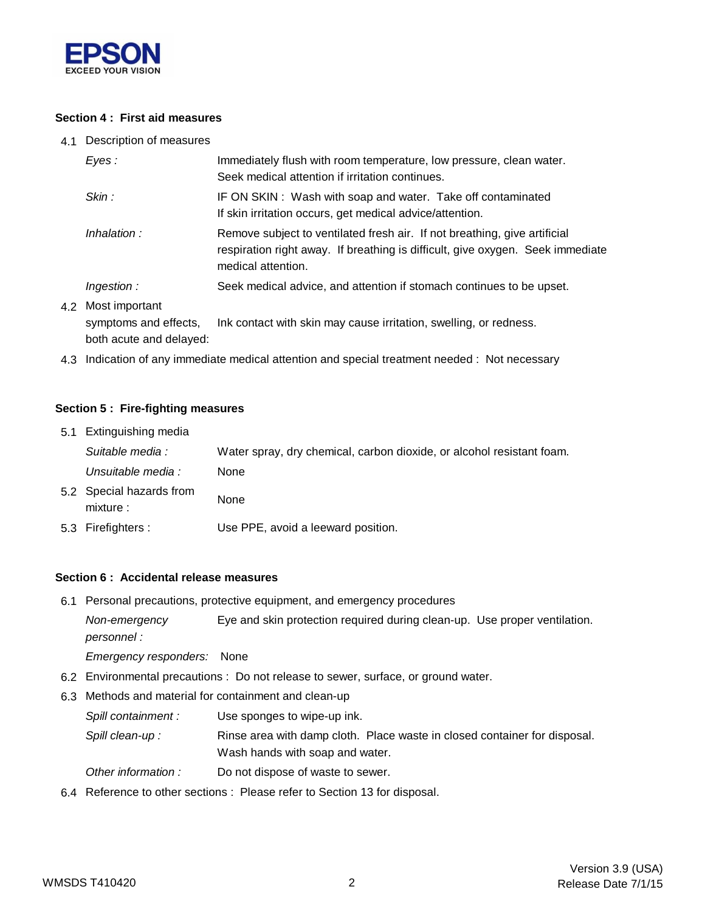

### **Section 4 : First aid measures**

4.1 Description of measures

| Eves :                                      | Immediately flush with room temperature, low pressure, clean water.<br>Seek medical attention if irritation continues.                                                            |  |
|---------------------------------------------|-----------------------------------------------------------------------------------------------------------------------------------------------------------------------------------|--|
| Skin:                                       | IF ON SKIN: Wash with soap and water. Take off contaminated<br>If skin irritation occurs, get medical advice/attention.                                                           |  |
| Inhalation:                                 | Remove subject to ventilated fresh air. If not breathing, give artificial<br>respiration right away. If breathing is difficult, give oxygen. Seek immediate<br>medical attention. |  |
| <i>Ingestion :</i>                          | Seek medical advice, and attention if stomach continues to be upset.                                                                                                              |  |
| 4.2 Most important<br>symptoms and effects, | Ink contact with skin may cause irritation, swelling, or redness.                                                                                                                 |  |

both acute and delayed:

4.3 Indication of any immediate medical attention and special treatment needed : Not necessary

#### **Section 5 : Fire-fighting measures**

| 5.1 Extinguishing media               |                                                                       |
|---------------------------------------|-----------------------------------------------------------------------|
| Suitable media :                      | Water spray, dry chemical, carbon dioxide, or alcohol resistant foam. |
| Unsuitable media :                    | None                                                                  |
| 5.2 Special hazards from<br>mixture : | None                                                                  |
| 5.3 Firefighters :                    | Use PPE, avoid a leeward position.                                    |

#### **Section 6 : Accidental release measures**

6.1 Personal precautions, protective equipment, and emergency procedures

*Non-emergency* Eye and skin protection required during clean-up. Use proper ventilation. *personnel :*

*Emergency responders:* None

- 6.2 Environmental precautions : Do not release to sewer, surface, or ground water.
- 6.3 Methods and material for containment and clean-up
	- *Spill containment :* Use sponges to wipe-up ink.
	- Spill clean-up : Rinse area with damp cloth. Place waste in closed container for disposal. Wash hands with soap and water.
	- *Other information :* Do not dispose of waste to sewer.
- 6.4 Reference to other sections : Please refer to Section 13 for disposal.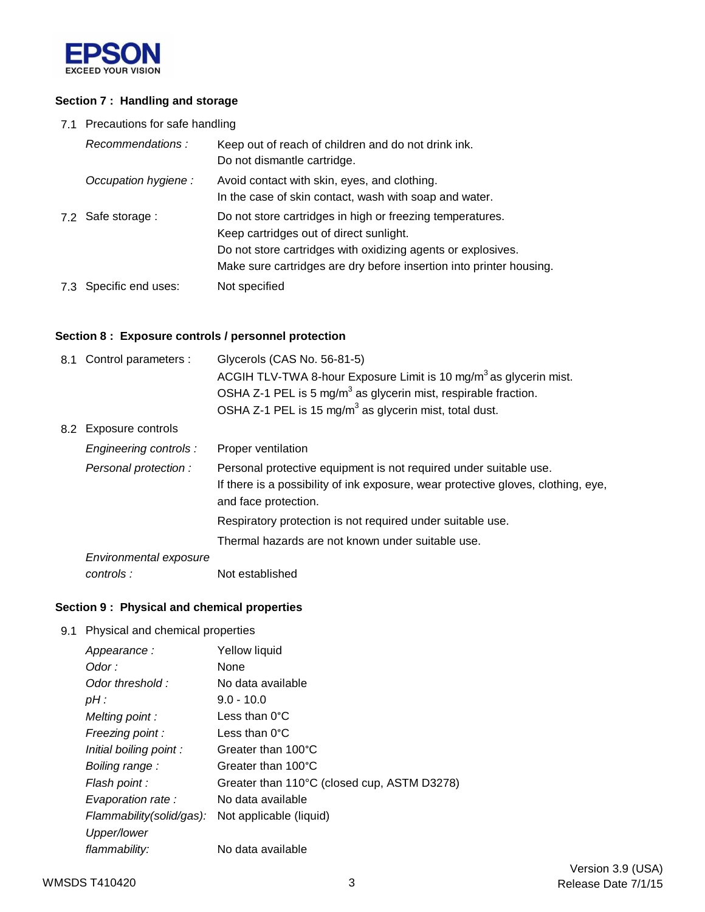

### **Section 7 : Handling and storage**

7.1 Precautions for safe handling

| Recommendations:       | Keep out of reach of children and do not drink ink.<br>Do not dismantle cartridge.                                                                                                                                                          |
|------------------------|---------------------------------------------------------------------------------------------------------------------------------------------------------------------------------------------------------------------------------------------|
| Occupation hygiene:    | Avoid contact with skin, eyes, and clothing.<br>In the case of skin contact, wash with soap and water.                                                                                                                                      |
| 7.2 Safe storage :     | Do not store cartridges in high or freezing temperatures.<br>Keep cartridges out of direct sunlight.<br>Do not store cartridges with oxidizing agents or explosives.<br>Make sure cartridges are dry before insertion into printer housing. |
| 7.3 Specific end uses: | Not specified                                                                                                                                                                                                                               |

## **Section 8 : Exposure controls / personnel protection**

|                                                   | 8.1 Control parameters : | Glycerols (CAS No. 56-81-5)<br>ACGIH TLV-TWA 8-hour Exposure Limit is 10 mg/m <sup>3</sup> as glycerin mist.                                                                   |  |
|---------------------------------------------------|--------------------------|--------------------------------------------------------------------------------------------------------------------------------------------------------------------------------|--|
|                                                   |                          | OSHA Z-1 PEL is 5 mg/m <sup>3</sup> as glycerin mist, respirable fraction.                                                                                                     |  |
|                                                   |                          | OSHA Z-1 PEL is 15 mg/m <sup>3</sup> as glycerin mist, total dust.                                                                                                             |  |
|                                                   | 8.2 Exposure controls    |                                                                                                                                                                                |  |
|                                                   | Engineering controls :   | Proper ventilation                                                                                                                                                             |  |
|                                                   | Personal protection:     | Personal protective equipment is not required under suitable use.<br>If there is a possibility of ink exposure, wear protective gloves, clothing, eye,<br>and face protection. |  |
|                                                   |                          | Respiratory protection is not required under suitable use.                                                                                                                     |  |
| Thermal hazards are not known under suitable use. |                          |                                                                                                                                                                                |  |
|                                                   | Environmental exposure   |                                                                                                                                                                                |  |
|                                                   | controls:                | Not established                                                                                                                                                                |  |

# **Section 9 : Physical and chemical properties**

9.1 Physical and chemical properties

| Appearance:              | Yellow liquid                               |
|--------------------------|---------------------------------------------|
|                          |                                             |
| Odor :                   | None                                        |
| Odor threshold:          | No data available                           |
| $pH$ :                   | $9.0 - 10.0$                                |
| Melting point:           | Less than $0^{\circ}$ C                     |
| Freezing point:          | Less than $0^{\circ}$ C                     |
| Initial boiling point:   | Greater than 100°C                          |
| Boiling range:           | Greater than 100°C                          |
| Flash point :            | Greater than 110°C (closed cup, ASTM D3278) |
| Evaporation rate :       | No data available                           |
| Flammability(solid/gas): | Not applicable (liquid)                     |
| Upper/lower              |                                             |
| flammability:            | No data available                           |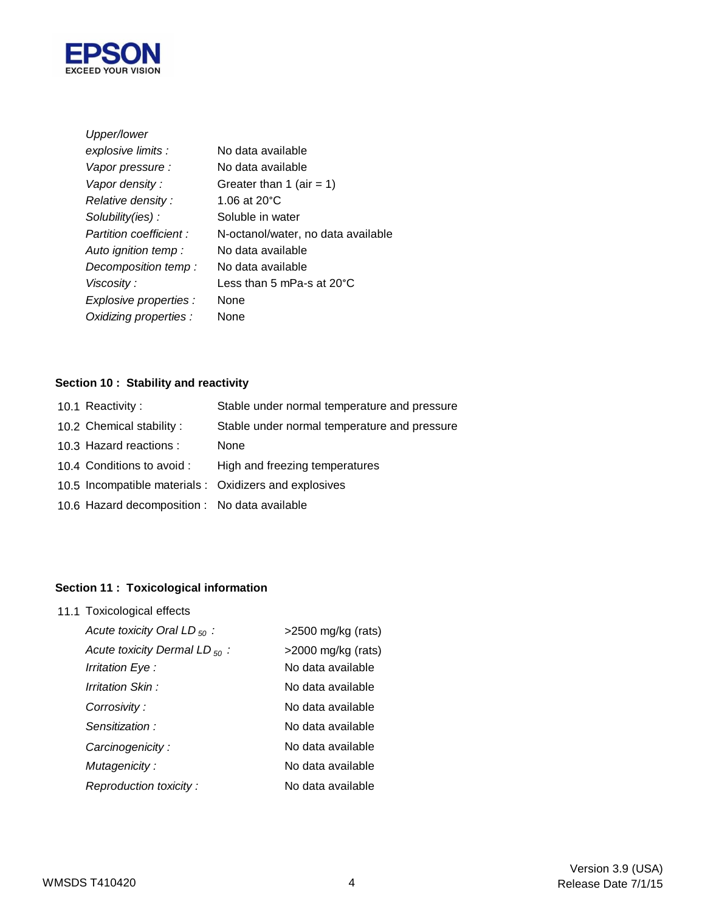

| Upper/lower            |                                    |
|------------------------|------------------------------------|
| explosive limits :     | No data available                  |
| Vapor pressure :       | No data available                  |
| Vapor density:         | Greater than 1 (air = 1)           |
| Relative density:      | 1.06 at 20 $^{\circ}$ C            |
| Solubility(ies):       | Soluble in water                   |
| Partition coefficient: | N-octanol/water, no data available |
| Auto ignition temp :   | No data available                  |
| Decomposition temp:    | No data available                  |
| Viscosity:             | Less than 5 mPa-s at 20°C          |
| Explosive properties : | None                               |
| Oxidizing properties : | None                               |

# **Section 10 : Stability and reactivity**

| 10.1 Reactivity:                              | Stable under normal temperature and pressure           |
|-----------------------------------------------|--------------------------------------------------------|
| 10.2 Chemical stability:                      | Stable under normal temperature and pressure           |
| 10.3 Hazard reactions :                       | None                                                   |
| 10.4 Conditions to avoid :                    | High and freezing temperatures                         |
|                                               | 10.5 Incompatible materials : Oxidizers and explosives |
| 10.6 Hazard decomposition : No data available |                                                        |
|                                               |                                                        |

# **Section 11 : Toxicological information**

11.1 Toxicological effects

| Acute toxicity Oral LD $_{50}$ :   | $>2500$ mg/kg (rats)  |
|------------------------------------|-----------------------|
| Acute toxicity Dermal LD $_{50}$ : | $>$ 2000 mg/kg (rats) |
| Irritation Eye :                   | No data available     |
| Irritation Skin:                   | No data available     |
| Corrosivity:                       | No data available     |
| Sensitization:                     | No data available     |
| Carcinogenicity:                   | No data available     |
| Mutagenicity:                      | No data available     |
| Reproduction toxicity:             | No data available     |
|                                    |                       |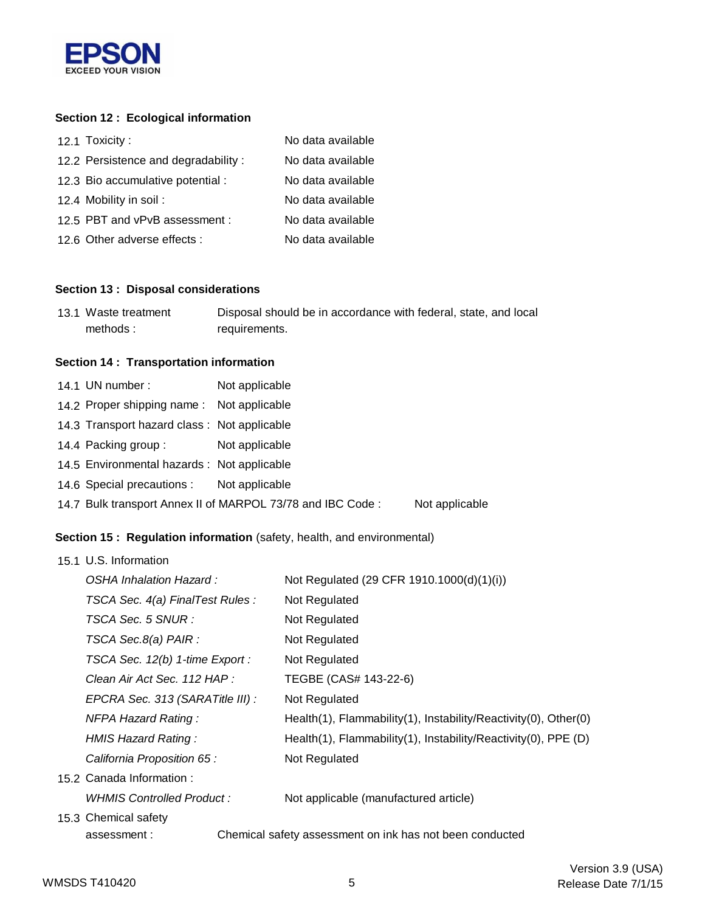

# **Section 12 : Ecological information**

| 12.1 Toxicity:                      | No data available |
|-------------------------------------|-------------------|
| 12.2 Persistence and degradability: | No data available |
| 12.3 Bio accumulative potential :   | No data available |
| 12.4 Mobility in soil:              | No data available |
| 12.5 PBT and vPvB assessment :      | No data available |
| 12.6 Other adverse effects :        | No data available |

#### **Section 13 : Disposal considerations**

| 13.1 Waste treatment | Disposal should be in accordance with federal, state, and local |
|----------------------|-----------------------------------------------------------------|
| methods:             | requirements.                                                   |

# **Section 14 : Transportation information**

| 14.1 UN number:                             | Not applicable                                             |                |
|---------------------------------------------|------------------------------------------------------------|----------------|
| 14.2 Proper shipping name: Not applicable   |                                                            |                |
| 14.3 Transport hazard class: Not applicable |                                                            |                |
| 14.4 Packing group:                         | Not applicable                                             |                |
| 14.5 Environmental hazards : Not applicable |                                                            |                |
| 14.6 Special precautions : Not applicable   |                                                            |                |
|                                             | 14.7 Bulk transport Annex II of MARPOL 73/78 and IBC Code: | Not applicable |

# **Section 15 : Regulation information** (safety, health, and environmental)

| 15.1 U.S. Information            |                                                                 |
|----------------------------------|-----------------------------------------------------------------|
| OSHA Inhalation Hazard:          | Not Regulated (29 CFR 1910.1000(d)(1)(i))                       |
| TSCA Sec. 4(a) FinalTest Rules : | Not Regulated                                                   |
| TSCA Sec. 5 SNUR :               | Not Regulated                                                   |
| TSCA Sec.8(a) PAIR :             | Not Regulated                                                   |
| TSCA Sec. 12(b) 1-time Export :  | Not Regulated                                                   |
| Clean Air Act Sec. 112 HAP :     | TEGBE (CAS# 143-22-6)                                           |
| EPCRA Sec. 313 (SARATitle III) : | Not Regulated                                                   |
| <b>NFPA Hazard Rating:</b>       | Health(1), Flammability(1), Instability/Reactivity(0), Other(0) |
| HMIS Hazard Rating:              | Health(1), Flammability(1), Instability/Reactivity(0), PPE (D)  |
| California Proposition 65 :      | Not Regulated                                                   |
| 15.2 Canada Information:         |                                                                 |
| WHMIS Controlled Product :       | Not applicable (manufactured article)                           |
| 15.3 Chemical safety             |                                                                 |
| assessment:                      | Chemical safety assessment on ink has not been conducted        |